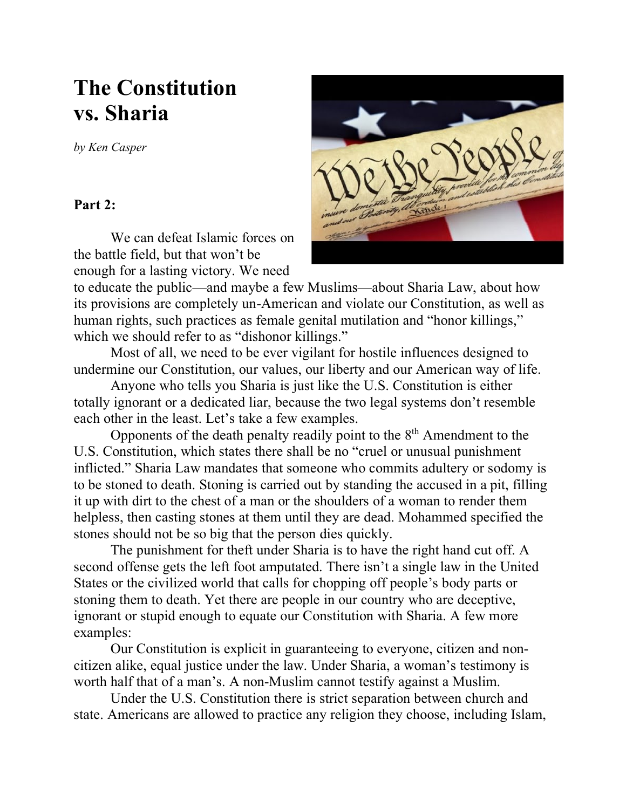## **The Constitution vs. Sharia**

*by Ken Casper*

## **Part 2:**

We can defeat Islamic forces on the battle field, but that won't be enough for a lasting victory. We need



to educate the public—and maybe a few Muslims—about Sharia Law, about how its provisions are completely un-American and violate our Constitution, as well as human rights, such practices as female genital mutilation and "honor killings," which we should refer to as "dishonor killings."

Most of all, we need to be ever vigilant for hostile influences designed to undermine our Constitution, our values, our liberty and our American way of life.

Anyone who tells you Sharia is just like the U.S. Constitution is either totally ignorant or a dedicated liar, because the two legal systems don't resemble each other in the least. Let's take a few examples.

Opponents of the death penalty readily point to the  $8<sup>th</sup>$  Amendment to the U.S. Constitution, which states there shall be no "cruel or unusual punishment inflicted." Sharia Law mandates that someone who commits adultery or sodomy is to be stoned to death. Stoning is carried out by standing the accused in a pit, filling it up with dirt to the chest of a man or the shoulders of a woman to render them helpless, then casting stones at them until they are dead. Mohammed specified the stones should not be so big that the person dies quickly.

The punishment for theft under Sharia is to have the right hand cut off. A second offense gets the left foot amputated. There isn't a single law in the United States or the civilized world that calls for chopping off people's body parts or stoning them to death. Yet there are people in our country who are deceptive, ignorant or stupid enough to equate our Constitution with Sharia. A few more examples:

Our Constitution is explicit in guaranteeing to everyone, citizen and noncitizen alike, equal justice under the law. Under Sharia, a woman's testimony is worth half that of a man's. A non-Muslim cannot testify against a Muslim.

Under the U.S. Constitution there is strict separation between church and state. Americans are allowed to practice any religion they choose, including Islam,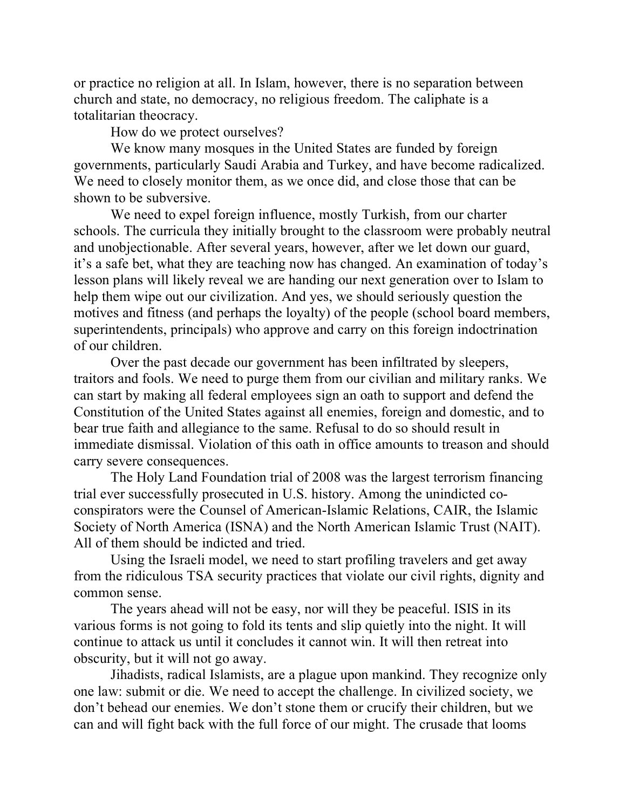or practice no religion at all. In Islam, however, there is no separation between church and state, no democracy, no religious freedom. The caliphate is a totalitarian theocracy.

How do we protect ourselves?

We know many mosques in the United States are funded by foreign governments, particularly Saudi Arabia and Turkey, and have become radicalized. We need to closely monitor them, as we once did, and close those that can be shown to be subversive.

We need to expel foreign influence, mostly Turkish, from our charter schools. The curricula they initially brought to the classroom were probably neutral and unobjectionable. After several years, however, after we let down our guard, it's a safe bet, what they are teaching now has changed. An examination of today's lesson plans will likely reveal we are handing our next generation over to Islam to help them wipe out our civilization. And yes, we should seriously question the motives and fitness (and perhaps the loyalty) of the people (school board members, superintendents, principals) who approve and carry on this foreign indoctrination of our children.

Over the past decade our government has been infiltrated by sleepers, traitors and fools. We need to purge them from our civilian and military ranks. We can start by making all federal employees sign an oath to support and defend the Constitution of the United States against all enemies, foreign and domestic, and to bear true faith and allegiance to the same. Refusal to do so should result in immediate dismissal. Violation of this oath in office amounts to treason and should carry severe consequences.

The Holy Land Foundation trial of 2008 was the largest terrorism financing trial ever successfully prosecuted in U.S. history. Among the unindicted coconspirators were the Counsel of American-Islamic Relations, CAIR, the Islamic Society of North America (ISNA) and the North American Islamic Trust (NAIT). All of them should be indicted and tried.

Using the Israeli model, we need to start profiling travelers and get away from the ridiculous TSA security practices that violate our civil rights, dignity and common sense.

The years ahead will not be easy, nor will they be peaceful. ISIS in its various forms is not going to fold its tents and slip quietly into the night. It will continue to attack us until it concludes it cannot win. It will then retreat into obscurity, but it will not go away.

Jihadists, radical Islamists, are a plague upon mankind. They recognize only one law: submit or die. We need to accept the challenge. In civilized society, we don't behead our enemies. We don't stone them or crucify their children, but we can and will fight back with the full force of our might. The crusade that looms